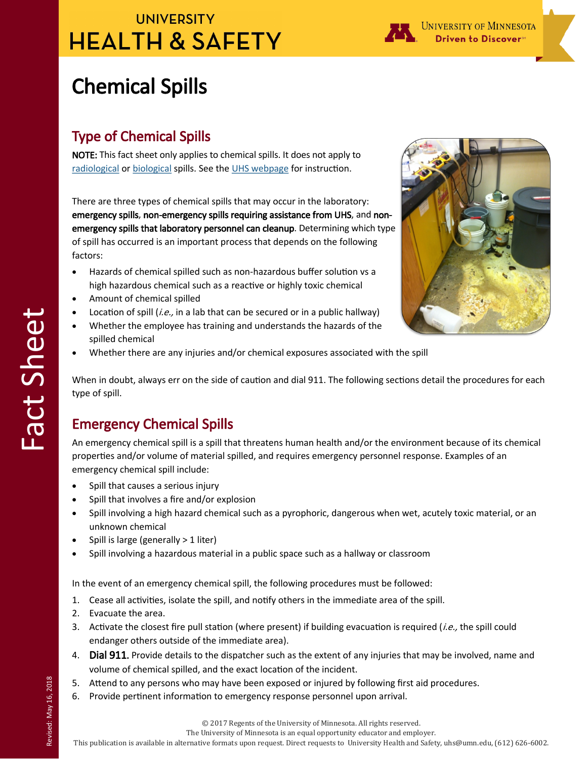## **UNIVERSITY HEALTH & SAFETY**



# Chemical Spills

#### Type of Chemical Spills

NOTE: This fact sheet only applies to chemical spills. It does not apply to [radiological](https://radsafety.umn.edu/radioactive-materials-incidents-and-spills) or [biological](https://bohd.umn.edu/biological-spills) spills. See the [UHS webpage](https://www.uhs.umn.edu/) for instruction.

There are three types of chemical spills that may occur in the laboratory: emergency spills, non-emergency spills requiring assistance from UHS, and nonemergency spills that laboratory personnel can cleanup. Determining which type of spill has occurred is an important process that depends on the following factors:

- Hazards of chemical spilled such as non-hazardous buffer solution vs a high hazardous chemical such as a reactive or highly toxic chemical
- Amount of chemical spilled
- Location of spill (*i.e.*, in a lab that can be secured or in a public hallway)
- Whether the employee has training and understands the hazards of the spilled chemical
- Whether there are any injuries and/or chemical exposures associated with the spill



When in doubt, always err on the side of caution and dial 911. The following sections detail the procedures for each type of spill.

### Emergency Chemical Spills

An emergency chemical spill is a spill that threatens human health and/or the environment because of its chemical properties and/or volume of material spilled, and requires emergency personnel response. Examples of an emergency chemical spill include:

- Spill that causes a serious injury
- Spill that involves a fire and/or explosion
- Spill involving a high hazard chemical such as a pyrophoric, dangerous when wet, acutely toxic material, or an unknown chemical
- Spill is large (generally > 1 liter)
- Spill involving a hazardous material in a public space such as a hallway or classroom

In the event of an emergency chemical spill, the following procedures must be followed:

- 1. Cease all activities, isolate the spill, and notify others in the immediate area of the spill.
- 2. Evacuate the area.
- 3. Activate the closest fire pull station (where present) if building evacuation is required (*i.e.,* the spill could endanger others outside of the immediate area).
- 4. Dial 911. Provide details to the dispatcher such as the extent of any injuries that may be involved, name and volume of chemical spilled, and the exact location of the incident.
- 5. Attend to any persons who may have been exposed or injured by following first aid procedures.
- 6. Provide pertinent information to emergency response personnel upon arrival.

The University of Minnesota is an equal opportunity educator and employer.

This publication is available in alternative formats upon request. Direct requests to University Health and Safety, uhs@umn.edu, (612) 626-6002.